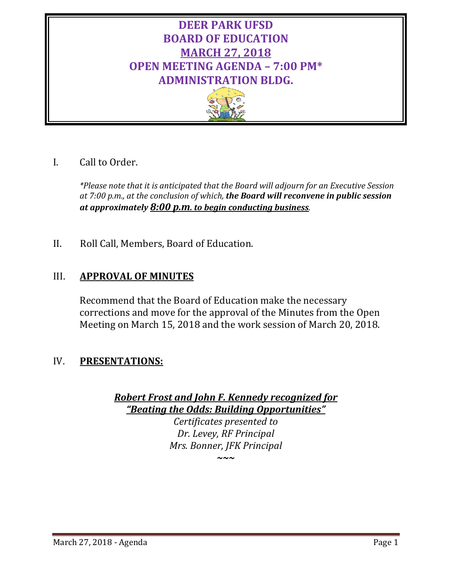# **DEER PARK UFSD BOARD OF EDUCATION MARCH 27, 2018 OPEN MEETING AGENDA – 7:00 PM\* ADMINISTRATION BLDG.**



I. Call to Order.

*\*Please note that it is anticipated that the Board will adjourn for an Executive Session at 7:00 p.m., at the conclusion of which, the Board will reconvene in public session at approximately 8:00 p.m. to begin conducting business.*

II. Roll Call, Members, Board of Education.

# III. **APPROVAL OF MINUTES**

Recommend that the Board of Education make the necessary corrections and move for the approval of the Minutes from the Open Meeting on March 15, 2018 and the work session of March 20, 2018.

# IV. **PRESENTATIONS:**

*Robert Frost and John F. Kennedy recognized for "Beating the Odds: Building Opportunities"* 

*Certificates presented to Dr. Levey, RF Principal Mrs. Bonner, JFK Principal*

*~~~*

March 27, 2018 - Agenda Page 1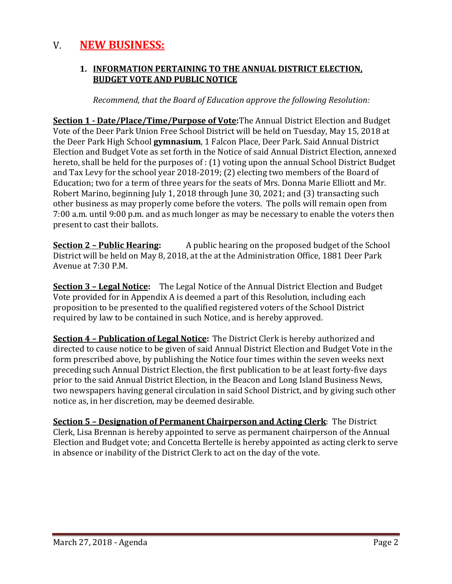# V. **NEW BUSINESS:**

### **1. INFORMATION PERTAINING TO THE ANNUAL DISTRICT ELECTION, BUDGET VOTE AND PUBLIC NOTICE**

*Recommend, that the Board of Education approve the following Resolution:*

**Section 1 - Date/Place/Time/Purpose of Vote:**The Annual District Election and Budget Vote of the Deer Park Union Free School District will be held on Tuesday, May 15, 2018 at the Deer Park High School **gymnasium**, 1 Falcon Place, Deer Park. Said Annual District Election and Budget Vote as set forth in the Notice of said Annual District Election, annexed hereto, shall be held for the purposes of : (1) voting upon the annual School District Budget and Tax Levy for the school year 2018-2019; (2) electing two members of the Board of Education; two for a term of three years for the seats of Mrs. Donna Marie Elliott and Mr. Robert Marino, beginning July 1, 2018 through June 30, 2021; and (3) transacting such other business as may properly come before the voters. The polls will remain open from 7:00 a.m. until 9:00 p.m. and as much longer as may be necessary to enable the voters then present to cast their ballots.

**Section 2 – Public Hearing:** A public hearing on the proposed budget of the School District will be held on May 8, 2018, at the at the Administration Office, 1881 Deer Park Avenue at 7:30 P.M.

**Section 3 – Legal Notice:** The Legal Notice of the Annual District Election and Budget Vote provided for in Appendix A is deemed a part of this Resolution, including each proposition to be presented to the qualified registered voters of the School District required by law to be contained in such Notice, and is hereby approved.

**Section 4 – Publication of Legal Notice:** The District Clerk is hereby authorized and directed to cause notice to be given of said Annual District Election and Budget Vote in the form prescribed above, by publishing the Notice four times within the seven weeks next preceding such Annual District Election, the first publication to be at least forty-five days prior to the said Annual District Election, in the Beacon and Long Island Business News*,*  two newspapers having general circulation in said School District, and by giving such other notice as, in her discretion, may be deemed desirable.

**Section 5 – Designation of Permanent Chairperson and Acting Clerk**: The District Clerk, Lisa Brennan is hereby appointed to serve as permanent chairperson of the Annual Election and Budget vote; and Concetta Bertelle is hereby appointed as acting clerk to serve in absence or inability of the District Clerk to act on the day of the vote.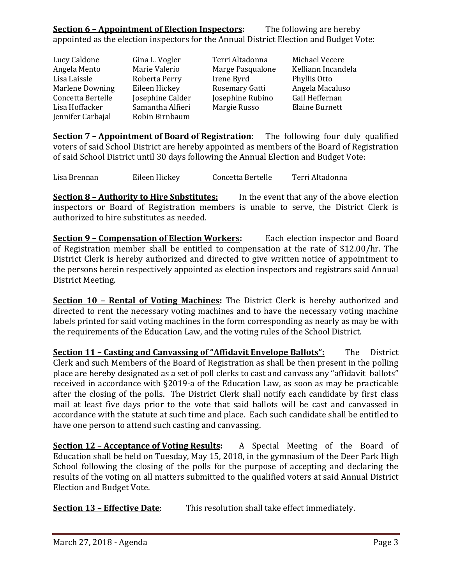# **Section 6 – Appointment of Election Inspectors:** The following are hereby appointed as the election inspectors for the Annual District Election and Budget Vote:

| Lucy Caldone           | Gina L. Vogler   | Terri Altadonna  | Michael Vecere     |
|------------------------|------------------|------------------|--------------------|
|                        |                  |                  |                    |
| Angela Mento           | Marie Valerio    | Marge Pasqualone | Kelliann Incandela |
| Lisa Laissle           | Roberta Perry    | Irene Byrd       | Phyllis Otto       |
| <b>Marlene Downing</b> | Eileen Hickey    | Rosemary Gatti   | Angela Macaluso    |
| Concetta Bertelle      | Josephine Calder | Josephine Rubino | Gail Heffernan     |
| Lisa Hoffacker         | Samantha Alfieri | Margie Russo     | Elaine Burnett     |
| Jennifer Carbajal      | Robin Birnbaum   |                  |                    |

**Section 7 – Appointment of Board of Registration**: The following four duly qualified voters of said School District are hereby appointed as members of the Board of Registration of said School District until 30 days following the Annual Election and Budget Vote:

Lisa Brennan Eileen Hickey Concetta Bertelle Terri Altadonna

**Section 8 – Authority to Hire Substitutes:** In the event that any of the above election inspectors or Board of Registration members is unable to serve, the District Clerk is authorized to hire substitutes as needed.

**Section 9 – Compensation of Election Workers:** Each election inspector and Board of Registration member shall be entitled to compensation at the rate of \$12.00/hr. The District Clerk is hereby authorized and directed to give written notice of appointment to the persons herein respectively appointed as election inspectors and registrars said Annual District Meeting.

**Section 10 – Rental of Voting Machines:** The District Clerk is hereby authorized and directed to rent the necessary voting machines and to have the necessary voting machine labels printed for said voting machines in the form corresponding as nearly as may be with the requirements of the Education Law, and the voting rules of the School District.

**<u>Section 11 – Casting and Canvassing of "Affidavit Envelope Ballots":</u> The District** Clerk and such Members of the Board of Registration as shall be then present in the polling place are hereby designated as a set of poll clerks to cast and canvass any "affidavit ballots" received in accordance with §2019-a of the Education Law, as soon as may be practicable after the closing of the polls. The District Clerk shall notify each candidate by first class mail at least five days prior to the vote that said ballots will be cast and canvassed in accordance with the statute at such time and place. Each such candidate shall be entitled to have one person to attend such casting and canvassing.

**Section 12 – Acceptance of Voting Results:** A Special Meeting of the Board of Education shall be held on Tuesday, May 15, 2018, in the gymnasium of the Deer Park High School following the closing of the polls for the purpose of accepting and declaring the results of the voting on all matters submitted to the qualified voters at said Annual District Election and Budget Vote.

**Section 13 – Effective Date:** This resolution shall take effect immediately.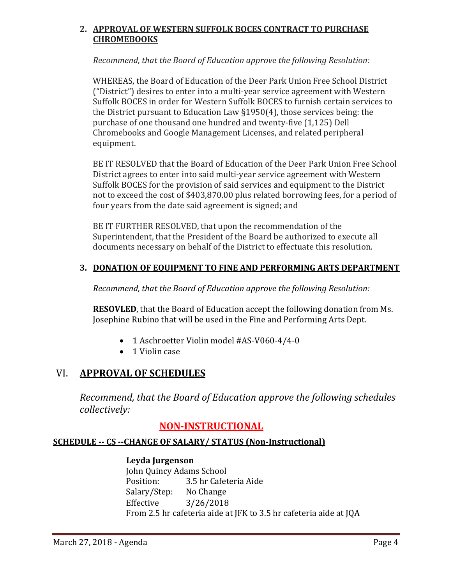### **2. APPROVAL OF WESTERN SUFFOLK BOCES CONTRACT TO PURCHASE CHROMEBOOKS**

*Recommend, that the Board of Education approve the following Resolution:*

WHEREAS, the Board of Education of the Deer Park Union Free School District ("District") desires to enter into a multi-year service agreement with Western Suffolk BOCES in order for Western Suffolk BOCES to furnish certain services to the District pursuant to Education Law §1950(4), those services being: the purchase of one thousand one hundred and twenty-five (1,125) Dell Chromebooks and Google Management Licenses, and related peripheral equipment.

BE IT RESOLVED that the Board of Education of the Deer Park Union Free School District agrees to enter into said multi-year service agreement with Western Suffolk BOCES for the provision of said services and equipment to the District not to exceed the cost of \$403,870.00 plus related borrowing fees, for a period of four years from the date said agreement is signed; and

BE IT FURTHER RESOLVED, that upon the recommendation of the Superintendent, that the President of the Board be authorized to execute all documents necessary on behalf of the District to effectuate this resolution.

## **3. DONATION OF EQUIPMENT TO FINE AND PERFORMING ARTS DEPARTMENT**

*Recommend, that the Board of Education approve the following Resolution:*

**RESOVLED**, that the Board of Education accept the following donation from Ms. Josephine Rubino that will be used in the Fine and Performing Arts Dept.

- 1 Aschroetter Violin model #AS-V060-4/4-0
- 1 Violin case

## VI. **APPROVAL OF SCHEDULES**

*Recommend, that the Board of Education approve the following schedules collectively:*

## **NON-INSTRUCTIONAL**

## **SCHEDULE -- CS --CHANGE OF SALARY/ STATUS (Non-Instructional)**

#### **Leyda Jurgenson**

John Quincy Adams School<br>Position: 3.5 hr Cafet 3.5 hr Cafeteria Aide<br>No Change Salary/Step:<br>Effective  $3/26/2018$ From 2.5 hr cafeteria aide at JFK to 3.5 hr cafeteria aide at JQA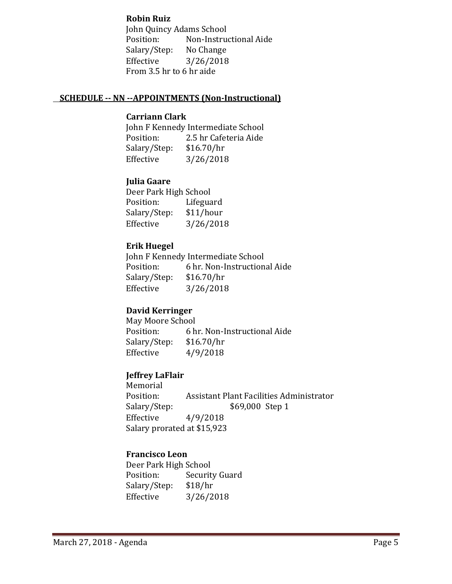#### **Robin Ruiz**

John Quincy Adams School<br>Position: Non-Instrue Non-Instructional Aide<br>No Change Salary/Step:<br>Effective  $3/26/2018$ From 3.5 hr to 6 hr aide

#### **SCHEDULE -- NN --APPOINTMENTS (Non-Instructional)**

#### **Carriann Clark**

John F Kennedy Intermediate School<br>Position: 2.5 hr Cafeteria Aide 2.5 hr Cafeteria Aide<br>\$16.70/hr Salary/Step:<br>Effective  $3/26/2018$ 

## **Julia Gaare**

Deer Park High School<br>Position: Lifegua Lifeguard<br>\$11/hour Salary/Step:<br>Effective  $3/26/2018$ 

### **Erik Huegel**

John F Kennedy Intermediate School<br>Position: 6 hr. Non-Instruction 6 hr. Non-Instructional Aide  $$16.70/hr$ Salary/Step:<br>Effective  $3/26/2018$ 

## **David Kerringer**

May Moore School<br>Position: 6 h 6 hr. Non-Instructional Aide  $$16.70/hr$ Salary/Step:<br>Effective  $4/9/2018$ 

## **Jeffrey LaFlair**

Memorial<br>Position: Position: Assistant Plant Facilities Administrator<br>Salary/Step: \$69,000 Step 1 \$69,000 Step 1 Effective 4/9/2018 Salary prorated at \$15,923

## **Francisco Leon**

Deer Park High School<br>Position: Securit Security Guard<br>\$18/hr Salary/Step:<br>Effective  $3/26/2018$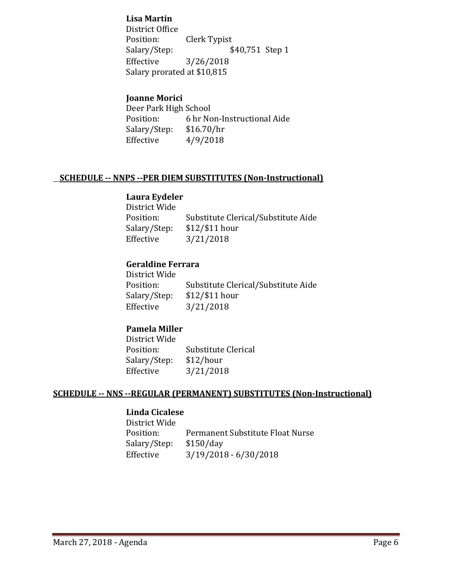#### **Lisa Martin**

District Office<br>Position: Position: Clerk Typist<br>Salary/Step: \$ \$40,751 Step 1 Effective 3/26/2018 Salary prorated at \$10,815

### **Joanne Morici**

Deer Park High School<br>Position: 6 hr No 6 hr Non-Instructional Aide  $$16.70/hr$ Salary/Step:<br>Effective  $4/9/2018$ 

#### **SCHEDULE -- NNPS --PER DIEM SUBSTITUTES (Non-Instructional)**

#### **Laura Eydeler**

| District Wide |                                     |
|---------------|-------------------------------------|
| Position:     | Substitute Clerical/Substitute Aide |
| Salary/Step:  | $$12$ /\$11 hour                    |
| Effective     | 3/21/2018                           |
|               |                                     |

#### **Geraldine Ferrara**

| Substitute Clerical/Substitute Aide |
|-------------------------------------|
|                                     |
|                                     |
|                                     |

## **Pamela Miller**

District Wide Substitute Clerical<br>\$12/hour Salary/Step:<br>Effective Effective 3/21/2018

#### **SCHEDULE -- NNS --REGULAR (PERMANENT) SUBSTITUTES (Non-Instructional)**

#### **Linda Cicalese**

District Wide Permanent Substitute Float Nurse<br>\$150/day Salary/Step:<br>Effective  $3/19/2018 - 6/30/2018$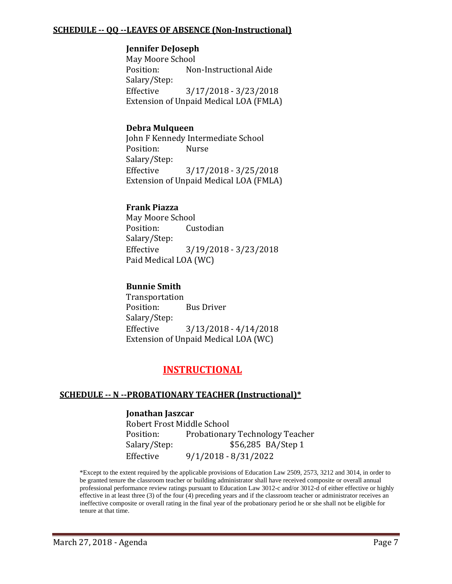#### **SCHEDULE -- QQ --LEAVES OF ABSENCE (Non-Instructional)**

#### **Jennifer DeJoseph**

May Moore School<br>Position: No Non-Instructional Aide Salary/Step: Effective 3/17/2018 - 3/23/2018 Extension of Unpaid Medical LOA (FMLA)

#### **Debra Mulqueen**

John F Kennedy Intermediate School<br>Position: Nurse Position: Salary/Step:<br>Effective Effective 3/17/2018 - 3/25/2018 Extension of Unpaid Medical LOA (FMLA)

#### **Frank Piazza**

May Moore School<br>Position: Cu Custodian Salary/Step: Effective 3/19/2018 - 3/23/2018 Paid Medical LOA (WC)

#### **Bunnie Smith**

Transportation **Bus Driver** Salary/Step: Effective 3/13/2018 - 4/14/2018 Extension of Unpaid Medical LOA (WC)

## **INSTRUCTIONAL**

#### **SCHEDULE -- N --PROBATIONARY TEACHER (Instructional)\***

#### **Jonathan Jaszcar**

Robert Frost Middle School Position: Probationary Technology Teacher<br>Salary/Step: \$56,285 BA/Step 1 \$56,285 BA/Step 1 Effective 9/1/2018 - 8/31/2022

\*Except to the extent required by the applicable provisions of Education Law 2509, 2573, 3212 and 3014, in order to be granted tenure the classroom teacher or building administrator shall have received composite or overall annual professional performance review ratings pursuant to Education Law 3012-c and/or 3012-d of either effective or highly effective in at least three (3) of the four (4) preceding years and if the classroom teacher or administrator receives an ineffective composite or overall rating in the final year of the probationary period he or she shall not be eligible for tenure at that time.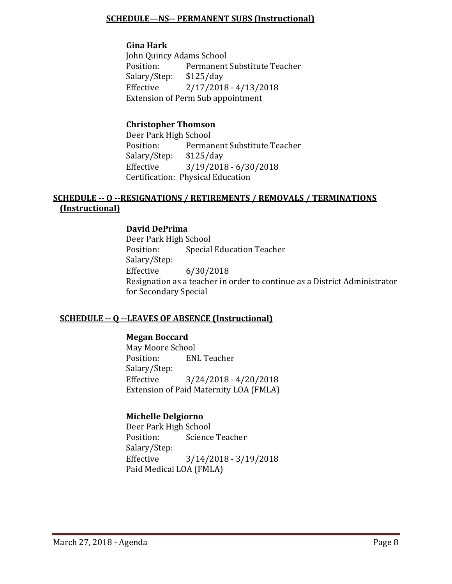#### **SCHEDULE—NS-- PERMANENT SUBS (Instructional)**

#### **Gina Hark**

John Quincy Adams School<br>Position: Permanent Permanent Substitute Teacher<br>\$125/day Salary/Step:<br>Effective  $2/17/2018 - 4/13/2018$ Extension of Perm Sub appointment

#### **Christopher Thomson**

Deer Park High School<br>Position: Permar Permanent Substitute Teacher<br>\$125/day Salary/Step:<br>Effective  $3/19/2018 - 6/30/2018$ Certification: Physical Education

## **SCHEDULE -- O --RESIGNATIONS / RETIREMENTS / REMOVALS / TERMINATIONS (Instructional)**

### **David DePrima**

Deer Park High School **Special Education Teacher** Salary/Step:  $6/30/2018$ Resignation as a teacher in order to continue as a District Administrator for Secondary Special

#### **SCHEDULE -- Q --LEAVES OF ABSENCE (Instructional)**

#### **Megan Boccard**

May Moore School<br>Position: EN **ENL Teacher** Salary/Step: Effective 3/24/2018 - 4/20/2018 Extension of Paid Maternity LOA (FMLA)

#### **Michelle Delgiorno**

Deer Park High School<br>Position: Science Science Teacher Salary/Step:  $3/14/2018 - 3/19/2018$ Paid Medical LOA (FMLA)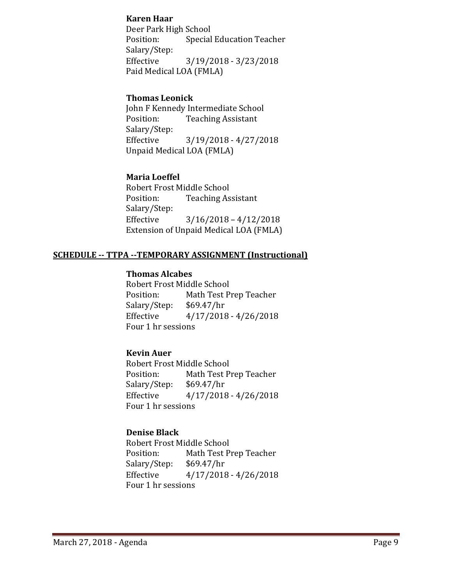#### **Karen Haar**

Deer Park High School<br>Position: Special **Special Education Teacher** Salary/Step:<br>Effective Effective 3/19/2018 - 3/23/2018 Paid Medical LOA (FMLA)

### **Thomas Leonick**

John F Kennedy Intermediate School<br>Position: Teaching Assistant **Teaching Assistant** Salary/Step:<br>Effective  $3/19/2018 - 4/27/2018$ Unpaid Medical LOA (FMLA)

## **Maria Loeffel**

Robert Frost Middle School<br>Position: Teaching As **Teaching Assistant** Salary/Step:  $3/16/2018 - 4/12/2018$ Extension of Unpaid Medical LOA (FMLA)

### **SCHEDULE -- TTPA --TEMPORARY ASSIGNMENT (Instructional)**

#### **Thomas Alcabes**

Robert Frost Middle School<br>Position: Math Test P Math Test Prep Teacher<br>\$69.47/hr Salary/Step:<br>Effective  $4/17/2018 - 4/26/2018$ Four 1 hr sessions

## **Kevin Auer**

Robert Frost Middle School<br>Position: Math Test P Math Test Prep Teacher<br>\$69.47/hr Salary/Step:<br>Effective  $4/17/2018 - 4/26/2018$ Four 1 hr sessions

#### **Denise Black**

Robert Frost Middle School<br>Position: Math Test P Math Test Prep Teacher<br>\$69.47/hr Salary/Step:<br>Effective  $4/17/2018 - 4/26/2018$ Four 1 hr sessions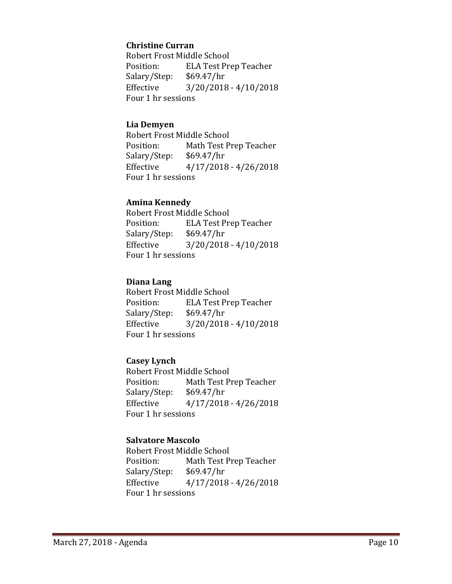#### **Christine Curran**

Robert Frost Middle School<br>Position: ELA Test Pre ELA Test Prep Teacher<br>\$69.47/hr Salary/Step:<br>Effective  $3/20/2018 - 4/10/2018$ Four 1 hr sessions

#### **Lia Demyen**

Robert Frost Middle School<br>Position: Math Test P Math Test Prep Teacher<br>\$69.47/hr Salary/Step:<br>Effective  $4/17/2018 - 4/26/2018$ Four 1 hr sessions

#### **Amina Kennedy**

Robert Frost Middle School<br>Position: ELA Test Pre ELA Test Prep Teacher<br>\$69.47/hr Salary/Step:<br>Effective  $3/20/2018 - 4/10/2018$ Four 1 hr sessions

#### **Diana Lang**

Robert Frost Middle School<br>Position: ELA Test Pr ELA Test Prep Teacher<br>\$69.47/hr Salary/Step:<br>Effective  $3/20/2018 - 4/10/2018$ Four 1 hr sessions

## **Casey Lynch**

Robert Frost Middle School<br>Position: Math Test P Math Test Prep Teacher<br>\$69.47/hr Salary/Step: Effective 4/17/2018 - 4/26/2018 Four 1 hr sessions

#### **Salvatore Mascolo**

Robert Frost Middle School<br>Position: Math Test P Math Test Prep Teacher<br>\$69.47/hr Salary/Step:<br>Effective  $4/17/2018 - 4/26/2018$ Four 1 hr sessions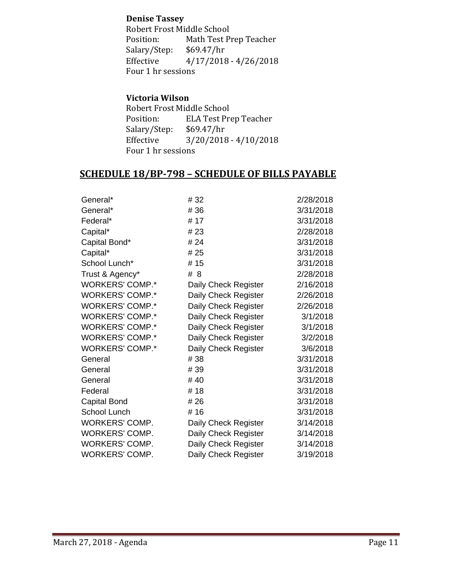#### **Denise Tassey**

Robert Frost Middle School<br>Position: Math Test P Math Test Prep Teacher<br>\$69.47/hr Salary/Step:<br>Effective  $4/17/2018 - 4/26/2018$ Four 1 hr sessions

### **Victoria Wilson**

Robert Frost Middle School<br>Position: ELA Test Pre ELA Test Prep Teacher<br>\$69.47/hr Salary/Step:<br>Effective  $3/20/2018 - 4/10/2018$ Four 1 hr sessions

## **SCHEDULE 18/BP-798 – SCHEDULE OF BILLS PAYABLE**

| General*               | # 32                 | 2/28/2018 |
|------------------------|----------------------|-----------|
| General*               | # 36                 | 3/31/2018 |
| Federal*               | # 17                 | 3/31/2018 |
| Capital*               | # 23                 | 2/28/2018 |
| Capital Bond*          | # 24                 | 3/31/2018 |
| Capital*               | # 25                 | 3/31/2018 |
| School Lunch*          | #15                  | 3/31/2018 |
| Trust & Agency*        | # 8                  | 2/28/2018 |
| <b>WORKERS' COMP.*</b> | Daily Check Register | 2/16/2018 |
| <b>WORKERS' COMP.*</b> | Daily Check Register | 2/26/2018 |
| <b>WORKERS' COMP.*</b> | Daily Check Register | 2/26/2018 |
| <b>WORKERS' COMP.*</b> | Daily Check Register | 3/1/2018  |
| <b>WORKERS' COMP.*</b> | Daily Check Register | 3/1/2018  |
| <b>WORKERS' COMP.*</b> | Daily Check Register | 3/2/2018  |
| <b>WORKERS' COMP.*</b> | Daily Check Register | 3/6/2018  |
| General                | # 38                 | 3/31/2018 |
| General                | # 39                 | 3/31/2018 |
| General                | #40                  | 3/31/2018 |
| Federal                | #18                  | 3/31/2018 |
| Capital Bond           | # 26                 | 3/31/2018 |
| School Lunch           | #16                  | 3/31/2018 |
| WORKERS' COMP.         | Daily Check Register | 3/14/2018 |
| WORKERS' COMP.         | Daily Check Register | 3/14/2018 |
| <b>WORKERS' COMP.</b>  | Daily Check Register | 3/14/2018 |
| <b>WORKERS' COMP.</b>  | Daily Check Register | 3/19/2018 |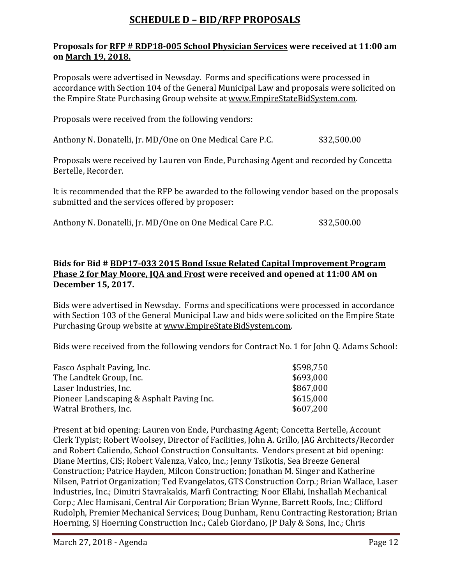# **SCHEDULE D – BID/RFP PROPOSALS**

#### **Proposals for RFP # RDP18-005 School Physician Services were received at 11:00 am on March 19, 2018.**

Proposals were advertised in Newsday. Forms and specifications were processed in accordance with Section 104 of the General Municipal Law and proposals were solicited on the Empire State Purchasing Group website at [www.EmpireStateBidSystem.com.](http://www.empirestatebidsystem.com/)

Proposals were received from the following vendors:

Anthony N. Donatelli, Jr. MD/One on One Medical Care P.C. \$32,500.00

Proposals were received by Lauren von Ende, Purchasing Agent and recorded by Concetta Bertelle, Recorder.

It is recommended that the RFP be awarded to the following vendor based on the proposals submitted and the services offered by proposer:

Anthony N. Donatelli, Jr. MD/One on One Medical Care P.C. \$32,500.00

### **Bids for Bid # BDP17-033 2015 Bond Issue Related Capital Improvement Program Phase 2 for May Moore, JQA and Frost were received and opened at 11:00 AM on December 15, 2017.**

Bids were advertised in Newsday. Forms and specifications were processed in accordance with Section 103 of the General Municipal Law and bids were solicited on the Empire State Purchasing Group website at [www.EmpireStateBidSystem.com.](http://www.empirestatebidsystem.com/)

Bids were received from the following vendors for Contract No. 1 for John Q. Adams School:

| \$598,750 |
|-----------|
| \$693,000 |
| \$867,000 |
| \$615,000 |
| \$607,200 |
|           |

Present at bid opening: Lauren von Ende, Purchasing Agent; Concetta Bertelle, Account Clerk Typist; Robert Woolsey, Director of Facilities, John A. Grillo, JAG Architects/Recorder and Robert Caliendo, School Construction Consultants. Vendors present at bid opening: Diane Mertins, CIS; Robert Valenza, Valco, Inc.; Jenny Tsikotis, Sea Breeze General Construction; Patrice Hayden, Milcon Construction; Jonathan M. Singer and Katherine Nilsen, Patriot Organization; Ted Evangelatos, GTS Construction Corp.; Brian Wallace, Laser Industries, Inc.; Dimitri Stavrakakis, Marfi Contracting; Noor Ellahi, Inshallah Mechanical Corp.; Alec Hamisani, Central Air Corporation; Brian Wynne, Barrett Roofs, Inc.; Clifford Rudolph, Premier Mechanical Services; Doug Dunham, Renu Contracting Restoration; Brian Hoerning, SJ Hoerning Construction Inc.; Caleb Giordano, JP Daly & Sons, Inc.; Chris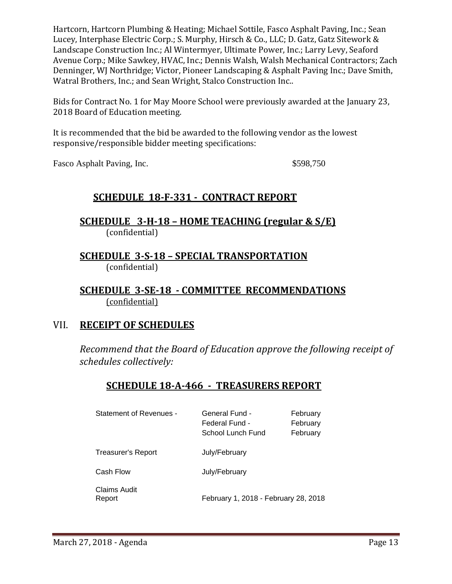Hartcorn, Hartcorn Plumbing & Heating; Michael Sottile, Fasco Asphalt Paving, Inc.; Sean Lucey, Interphase Electric Corp.; S. Murphy, Hirsch & Co., LLC; D. Gatz, Gatz Sitework & Landscape Construction Inc.; Al Wintermyer, Ultimate Power, Inc.; Larry Levy, Seaford Avenue Corp.; Mike Sawkey, HVAC, Inc.; Dennis Walsh, Walsh Mechanical Contractors; Zach Denninger, WJ Northridge; Victor, Pioneer Landscaping & Asphalt Paving Inc.; Dave Smith, Watral Brothers, Inc.; and Sean Wright, Stalco Construction Inc..

Bids for Contract No. 1 for May Moore School were previously awarded at the January 23, 2018 Board of Education meeting.

It is recommended that the bid be awarded to the following vendor as the lowest responsive/responsible bidder meeting specifications:

Fasco Asphalt Paving, Inc.  $$598,750$ 

# **SCHEDULE 18-F-331 - CONTRACT REPORT**

**SCHEDULE 3-H-18 – HOME TEACHING (regular & S/E)**  (confidential)

**SCHEDULE 3-S-18 – SPECIAL TRANSPORTATION**  (confidential)

**SCHEDULE 3-SE-18 - COMMITTEE RECOMMENDATIONS** (confidential)

## VII. **RECEIPT OF SCHEDULES**

*Recommend that the Board of Education approve the following receipt of schedules collectively:*

## **SCHEDULE 18-A-466 - TREASURERS REPORT**

| Statement of Revenues -   | General Fund -<br>Federal Fund -<br>School Lunch Fund | February<br>February<br>February |
|---------------------------|-------------------------------------------------------|----------------------------------|
| <b>Treasurer's Report</b> | July/February                                         |                                  |
| Cash Flow                 | July/February                                         |                                  |
| Claims Audit<br>Report    | February 1, 2018 - February 28, 2018                  |                                  |